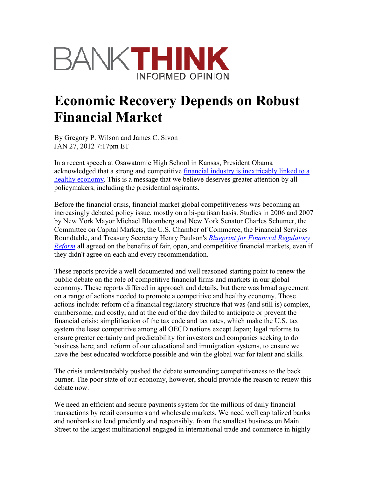

## Economic Recovery Depends on Robust Financial Market

By Gregory P. Wilson and James C. Sivon JAN 27, 2012 7:17pm ET

In a recent speech at Osawatomie High School in Kansas, President Obama acknowledged that a strong and competitive financial industry is inextricably linked to a healthy economy. This is a message that we believe deserves greater attention by all policymakers, including the presidential aspirants.

Before the financial crisis, financial market global competitiveness was becoming an increasingly debated policy issue, mostly on a bi-partisan basis. Studies in 2006 and 2007 by New York Mayor Michael Bloomberg and New York Senator Charles Schumer, the Committee on Capital Markets, the U.S. Chamber of Commerce, the Financial Services Roundtable, and Treasury Secretary Henry Paulson's Blueprint for Financial Regulatory Reform all agreed on the benefits of fair, open, and competitive financial markets, even if they didn't agree on each and every recommendation.

These reports provide a well documented and well reasoned starting point to renew the public debate on the role of competitive financial firms and markets in our global economy. These reports differed in approach and details, but there was broad agreement on a range of actions needed to promote a competitive and healthy economy. Those actions include: reform of a financial regulatory structure that was (and still is) complex, cumbersome, and costly, and at the end of the day failed to anticipate or prevent the financial crisis; simplification of the tax code and tax rates, which make the U.S. tax system the least competitive among all OECD nations except Japan; legal reforms to ensure greater certainty and predictability for investors and companies seeking to do business here; and reform of our educational and immigration systems, to ensure we have the best educated workforce possible and win the global war for talent and skills.

The crisis understandably pushed the debate surrounding competitiveness to the back burner. The poor state of our economy, however, should provide the reason to renew this debate now.

We need an efficient and secure payments system for the millions of daily financial transactions by retail consumers and wholesale markets. We need well capitalized banks and nonbanks to lend prudently and responsibly, from the smallest business on Main Street to the largest multinational engaged in international trade and commerce in highly